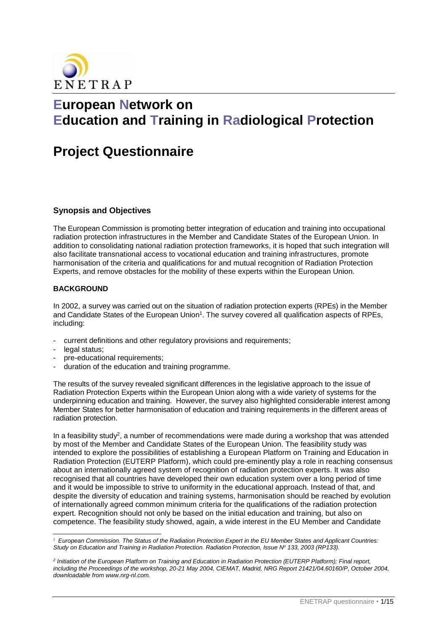

# **European Network on Education and Training in Radiological Protection**

# **Project Questionnaire**

# **Synopsis and Objectives**

The European Commission is promoting better integration of education and training into occupational radiation protection infrastructures in the Member and Candidate States of the European Union. In addition to consolidating national radiation protection frameworks, it is hoped that such integration will also facilitate transnational access to vocational education and training infrastructures, promote harmonisation of the criteria and qualifications for and mutual recognition of Radiation Protection Experts, and remove obstacles for the mobility of these experts within the European Union.

# **BACKGROUND**

In 2002, a survey was carried out on the situation of radiation protection experts (RPEs) in the Member and Candidate States of the European Union<sup>1</sup>. The survey covered all qualification aspects of RPEs, including:

- current definitions and other regulatory provisions and requirements;
- legal status;

 $\overline{a}$ 

- pre-educational requirements;
- duration of the education and training programme.

The results of the survey revealed significant differences in the legislative approach to the issue of Radiation Protection Experts within the European Union along with a wide variety of systems for the underpinning education and training. However, the survey also highlighted considerable interest among Member States for better harmonisation of education and training requirements in the different areas of radiation protection.

In a feasibility study<sup>2</sup>, a number of recommendations were made during a workshop that was attended by most of the Member and Candidate States of the European Union. The feasibility study was intended to explore the possibilities of establishing a European Platform on Training and Education in Radiation Protection (EUTERP Platform), which could pre-eminently play a role in reaching consensus about an internationally agreed system of recognition of radiation protection experts. It was also recognised that all countries have developed their own education system over a long period of time and it would be impossible to strive to uniformity in the educational approach. Instead of that, and despite the diversity of education and training systems, harmonisation should be reached by evolution of internationally agreed common minimum criteria for the qualifications of the radiation protection expert. Recognition should not only be based on the initial education and training, but also on competence. The feasibility study showed, again, a wide interest in the EU Member and Candidate

*<sup>1</sup> European Commission. The Status of the Radiation Protection Expert in the EU Member States and Applicant Countries: Study on Education and Training in Radiation Protection. Radiation Protection, Issue N<sup>o</sup> 133, 2003 (RP133).*

*<sup>2</sup> Initiation of the European Platform on Training and Education in Radiation Protection (EUTERP Platform); Final report, including the Proceedings of the workshop, 20-21 May 2004, CIEMAT, Madrid, NRG Report 21421/04.60160/P, October 2004, downloadable from www.nrg-nl.com.*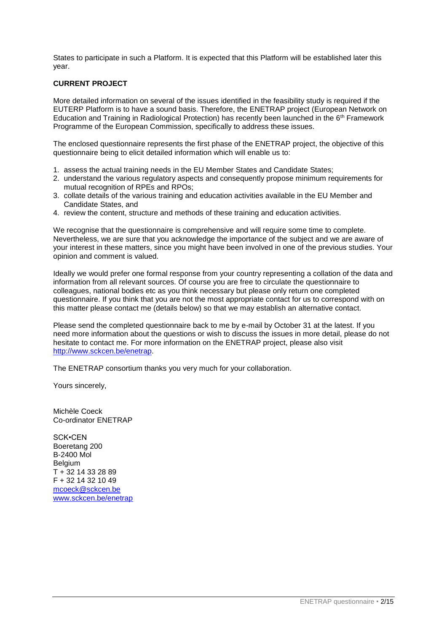States to participate in such a Platform. It is expected that this Platform will be established later this year.

# **CURRENT PROJECT**

More detailed information on several of the issues identified in the feasibility study is required if the EUTERP Platform is to have a sound basis. Therefore, the ENETRAP project (European Network on Education and Training in Radiological Protection) has recently been launched in the 6th Framework Programme of the European Commission, specifically to address these issues.

The enclosed questionnaire represents the first phase of the ENETRAP project, the objective of this questionnaire being to elicit detailed information which will enable us to:

- 1. assess the actual training needs in the EU Member States and Candidate States;
- 2. understand the various regulatory aspects and consequently propose minimum requirements for mutual recognition of RPEs and RPOs;
- 3. collate details of the various training and education activities available in the EU Member and Candidate States, and
- 4. review the content, structure and methods of these training and education activities.

We recognise that the questionnaire is comprehensive and will require some time to complete. Nevertheless, we are sure that you acknowledge the importance of the subject and we are aware of your interest in these matters, since you might have been involved in one of the previous studies. Your opinion and comment is valued.

Ideally we would prefer one formal response from your country representing a collation of the data and information from all relevant sources. Of course you are free to circulate the questionnaire to colleagues, national bodies etc as you think necessary but please only return one completed questionnaire. If you think that you are not the most appropriate contact for us to correspond with on this matter please contact me (details below) so that we may establish an alternative contact.

Please send the completed questionnaire back to me by e-mail by October 31 at the latest. If you need more information about the questions or wish to discuss the issues in more detail, please do not hesitate to contact me. For more information on the ENETRAP project, please also visit [http://www.sckcen.be/enetrap.](http://www.sckcen.be/enetrap)

The ENETRAP consortium thanks you very much for your collaboration.

Yours sincerely,

Michèle Coeck Co-ordinator ENETRAP

SCK•CEN Boeretang 200 B-2400 Mol Belgium T + 32 14 33 28 89 F + 32 14 32 10 49 [mcoeck@sckcen.be](mailto:mcoeck@sckcen.be) [www.sckcen.be/enetrap](http://www.sckcen.be/enetrap)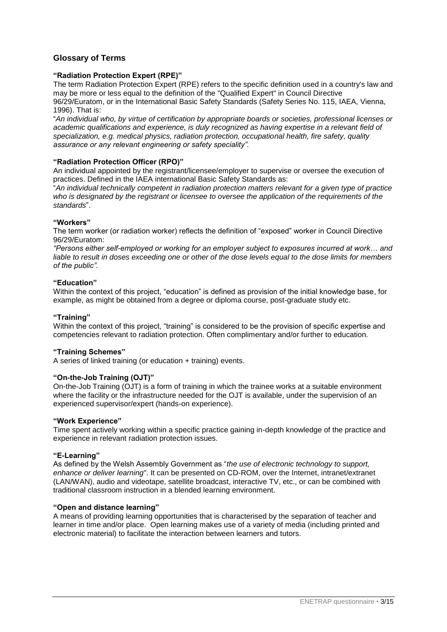# **Glossary of Terms**

## **"Radiation Protection Expert (RPE)"**

The term Radiation Protection Expert (RPE) refers to the specific definition used in a country's law and may be more or less equal to the definition of the "Qualified Expert" in Council Directive 96/29/Euratom, or in the International Basic Safety Standards (Safety Series No. 115, IAEA, Vienna, 1996). That is:

"*An individual who, by virtue of certification by appropriate boards or societies, professional licenses or academic qualifications and experience, is duly recognized as having expertise in a relevant field of specialization, e.g. medical physics, radiation protection, occupational health, fire safety, quality assurance or any relevant engineering or safety speciality".*

### **"Radiation Protection Officer (RPO)"**

An individual appointed by the registrant/licensee/employer to supervise or oversee the execution of practices. Defined in the IAEA international Basic Safety Standards as:

"*An individual technically competent in radiation protection matters relevant for a given type of practice who is designated by the registrant or licensee to oversee the application of the requirements of the standards*".

#### **"Workers"**

The term worker (or radiation worker) reflects the definition of "exposed" worker in Council Directive 96/29/Euratom:

*"Persons either self-employed or working for an employer subject to exposures incurred at work… and liable to result in doses exceeding one or other of the dose levels equal to the dose limits for members of the public".*

#### **"Education"**

Within the context of this project, "education" is defined as provision of the initial knowledge base, for example, as might be obtained from a degree or diploma course, post-graduate study etc.

#### **"Training"**

Within the context of this project, "training" is considered to be the provision of specific expertise and competencies relevant to radiation protection. Often complimentary and/or further to education.

#### **"Training Schemes"**

A series of linked training (or education + training) events.

#### **"On-the-Job Training (OJT)"**

On-the-Job Training (OJT) is a form of training in which the trainee works at a suitable environment where the facility or the infrastructure needed for the OJT is available, under the supervision of an experienced supervisor/expert (hands-on experience).

#### **"Work Experience"**

Time spent actively working within a specific practice gaining in-depth knowledge of the practice and experience in relevant radiation protection issues.

#### **"E-Learning"**

As defined by the Welsh Assembly Government as "*the use of electronic technology to support, enhance or deliver learning*". It can be presented on CD-ROM, over the Internet, intranet/extranet (LAN/WAN), audio and videotape, satellite broadcast, interactive TV, etc., or can be combined with traditional classroom instruction in a blended learning environment.

#### **"Open and distance learning"**

A means of providing learning opportunities that is characterised by the separation of teacher and learner in time and/or place. Open learning makes use of a variety of media (including printed and electronic material) to facilitate the interaction between learners and tutors.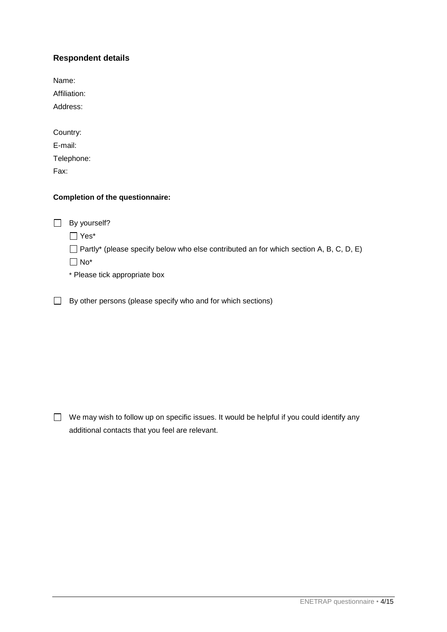# **Respondent details**

Name: Affiliation: Address: Country:

| E-mail:    |  |
|------------|--|
| Telephone: |  |
| Fax:       |  |

# **Completion of the questionnaire:**

□ By yourself?

Yes\*

 $\Box$  Partly\* (please specify below who else contributed an for which section A, B, C, D, E)

No\*

\* Please tick appropriate box

 $\Box$  By other persons (please specify who and for which sections)

 $\Box$  We may wish to follow up on specific issues. It would be helpful if you could identify any additional contacts that you feel are relevant.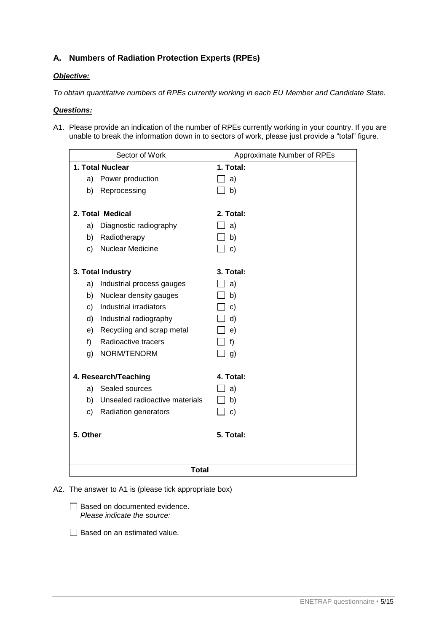# **A. Numbers of Radiation Protection Experts (RPEs)**

# *Objective:*

*To obtain quantitative numbers of RPEs currently working in each EU Member and Candidate State.* 

# *Questions:*

A1. Please provide an indication of the number of RPEs currently working in your country. If you are unable to break the information down in to sectors of work, please just provide a "total" figure.

| Sector of Work    |                                | Approximate Number of RPEs |
|-------------------|--------------------------------|----------------------------|
| 1. Total Nuclear  |                                | 1. Total:                  |
|                   | a) Power production            | a)                         |
| b)                | Reprocessing                   | b)                         |
|                   |                                |                            |
|                   | 2. Total Medical               | 2. Total:                  |
| a)                | Diagnostic radiography         | a)                         |
| b)                | Radiotherapy                   | b)                         |
| c)                | Nuclear Medicine               | $\mathbf{C}$               |
|                   |                                |                            |
| 3. Total Industry |                                | 3. Total:                  |
| a)                | Industrial process gauges      | a)                         |
| b)                | Nuclear density gauges         | b)                         |
| c)                | Industrial irradiators         | $\mathsf{c}$               |
| d)                | Industrial radiography         | $\mathsf{d}$               |
| e)                | Recycling and scrap metal      | e)                         |
| f)                | Radioactive tracers            | f)                         |
| g)                | NORM/TENORM                    | g)                         |
|                   |                                |                            |
|                   | 4. Research/Teaching           | 4. Total:                  |
|                   | a) Sealed sources              | a)                         |
| b)                | Unsealed radioactive materials | b)                         |
| c)                | Radiation generators           | $\mathbf{c}$               |
|                   |                                |                            |
| 5. Other          |                                | 5. Total:                  |
|                   |                                |                            |
|                   |                                |                            |
|                   | <b>Total</b>                   |                            |

A2. The answer to A1 is (please tick appropriate box)

- □ Based on documented evidence. *Please indicate the source:*
- Based on an estimated value.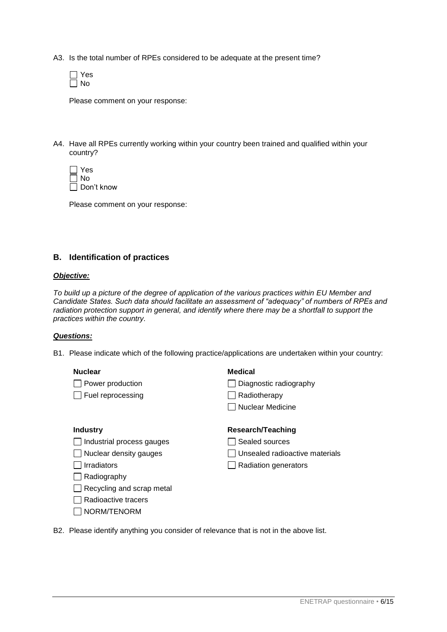- A3. Is the total number of RPEs considered to be adequate at the present time?
	- Yes  $\Box$  No

Please comment on your response:

- A4. Have all RPEs currently working within your country been trained and qualified within your country?
	- □ Yes No □ Don't know

Please comment on your response:

# **B. Identification of practices**

### *Objective:*

*To build up a picture of the degree of application of the various practices within EU Member and Candidate States. Such data should facilitate an assessment of "adequacy" of numbers of RPEs and radiation protection support in general, and identify where there may be a shortfall to support the practices within the country.*

#### *Questions:*

B1. Please indicate which of the following practice/applications are undertaken within your country:

#### **Nuclear**

□ Power production

 $\Box$  Fuel reprocessing

# **Medical**

- $\Box$  Diagnostic radiography
- $\Box$  Radiotherapy
- Nuclear Medicine

## **Industry**

- $\Box$  Industrial process gauges
- $\Box$  Nuclear density gauges
- $\Box$  Irradiators
- $\Box$  Radiography
- $\Box$  Recycling and scrap metal
- $\Box$  Radioactive tracers
- $\Box$  NORM/TENORM

# **Research/Teaching**

- $\Box$  Sealed sources
- Unsealed radioactive materials
- $\Box$  Radiation generators
- B2. Please identify anything you consider of relevance that is not in the above list.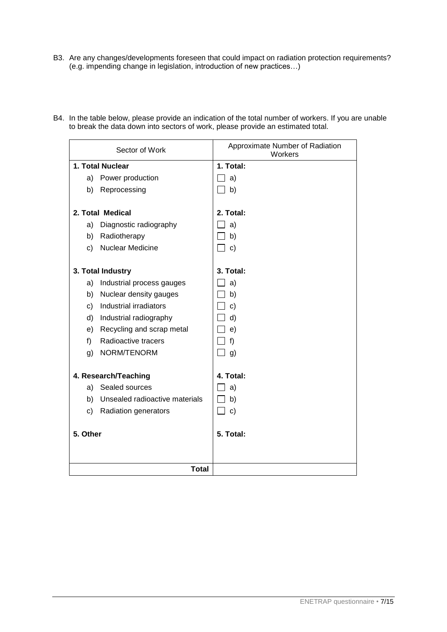B3. Are any changes/developments foreseen that could impact on radiation protection requirements? (e.g. impending change in legislation, introduction of new practices…)

| Sector of Work                       | Approximate Number of Radiation<br>Workers |
|--------------------------------------|--------------------------------------------|
| 1. Total Nuclear                     | 1. Total:                                  |
| Power production<br>a)               | a)                                         |
| b)<br>Reprocessing                   | $\Box$ b)                                  |
| 2. Total Medical                     | 2. Total:                                  |
| Diagnostic radiography<br>a)         | a)                                         |
| Radiotherapy<br>b)                   | b)                                         |
| Nuclear Medicine<br>c)               | $\mathbf{C}$                               |
| 3. Total Industry                    | 3. Total:                                  |
| a)<br>Industrial process gauges      | a)                                         |
| b)<br>Nuclear density gauges         | b)                                         |
| Industrial irradiators<br>C)         | $\mathbf{C}$                               |
| Industrial radiography<br>d)         | d)                                         |
| Recycling and scrap metal<br>e)      | e)                                         |
| Radioactive tracers<br>f)            | f)                                         |
| NORM/TENORM<br>g)                    | g)                                         |
| 4. Research/Teaching                 | 4. Total:                                  |
| Sealed sources<br>a)                 | a)                                         |
| Unsealed radioactive materials<br>b) | b)                                         |
| c)<br>Radiation generators           | $\mathbf{C}$                               |
| 5. Other                             | 5. Total:                                  |
|                                      |                                            |
| <b>Total</b>                         |                                            |

B4. In the table below, please provide an indication of the total number of workers. If you are unable to break the data down into sectors of work, please provide an estimated total.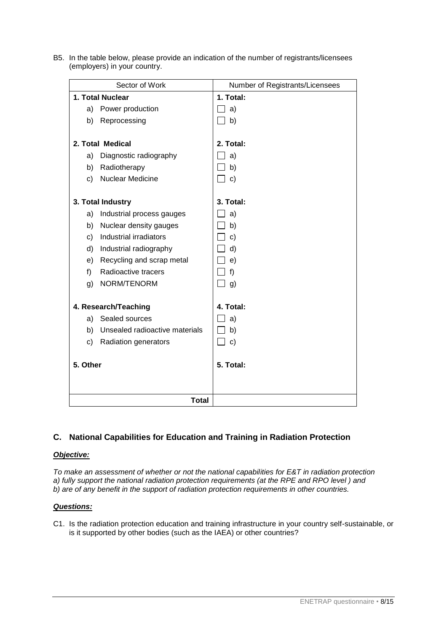B5. In the table below, please provide an indication of the number of registrants/licensees (employers) in your country.

| Sector of Work                       | Number of Registrants/Licensees |
|--------------------------------------|---------------------------------|
| 1. Total Nuclear                     | 1. Total:                       |
| Power production<br>a)               | a)                              |
| Reprocessing<br>b)                   | b)                              |
|                                      |                                 |
| 2. Total Medical                     | 2. Total:                       |
| Diagnostic radiography<br>a)         | a)                              |
| Radiotherapy<br>b)                   | b)                              |
| <b>Nuclear Medicine</b><br>c)        | $\Box$ c)                       |
|                                      |                                 |
| 3. Total Industry                    | 3. Total:                       |
| Industrial process gauges<br>a)      | a)                              |
| Nuclear density gauges<br>b)         | b)                              |
| Industrial irradiators<br>c)         | c)                              |
| Industrial radiography<br>d)         | d)                              |
| Recycling and scrap metal<br>e)      | e)                              |
| Radioactive tracers<br>f)            | f)                              |
| NORM/TENORM<br>g)                    | _l g)                           |
|                                      |                                 |
| 4. Research/Teaching                 | 4. Total:                       |
| a) Sealed sources                    | a)                              |
| Unsealed radioactive materials<br>b) | b)                              |
| c)<br>Radiation generators           | $\Box$ c)                       |
| 5. Other                             | 5. Total:                       |
|                                      |                                 |
|                                      |                                 |
| <b>Total</b>                         |                                 |

# **C. National Capabilities for Education and Training in Radiation Protection**

# *Objective:*

*To make an assessment of whether or not the national capabilities for E&T in radiation protection a) fully support the national radiation protection requirements (at the RPE and RPO level ) and b) are of any benefit in the support of radiation protection requirements in other countries.*

# *Questions:*

C1. Is the radiation protection education and training infrastructure in your country self-sustainable, or is it supported by other bodies (such as the IAEA) or other countries?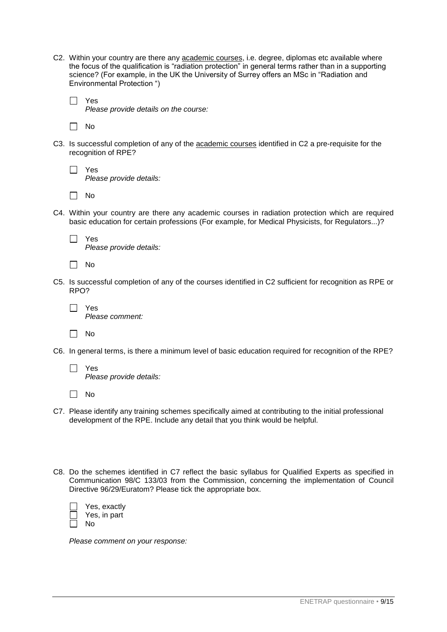- C2. Within your country are there any academic courses, i.e. degree, diplomas etc available where the focus of the qualification is "radiation protection" in general terms rather than in a supporting science? (For example, in the UK the University of Surrey offers an MSc in "Radiation and Environmental Protection ")
	- $\Box$ Yes *Please provide details on the course:*

 $\Box$  No

- C3. Is successful completion of any of the academic courses identified in C2 a pre-requisite for the recognition of RPE?
	- $\Box$  Yes *Please provide details:*
	- $\Box$  No
- C4. Within your country are there any academic courses in radiation protection which are required basic education for certain professions (For example, for Medical Physicists, for Regulators...)?
	- Yes *Please provide details:*
	- $\Box$  No
- C5. Is successful completion of any of the courses identified in C2 sufficient for recognition as RPE or RPO?
	- Yes *Please comment:*
	- $\Box$  No
- C6. In general terms, is there a minimum level of basic education required for recognition of the RPE?
	- $\Box$ Yes *Please provide details:*
	- $\Box$  No
- C7. Please identify any training schemes specifically aimed at contributing to the initial professional development of the RPE. Include any detail that you think would be helpful.
- C8. Do the schemes identified in C7 reflect the basic syllabus for Qualified Experts as specified in Communication 98/C 133/03 from the Commission, concerning the implementation of Council Directive 96/29/Euratom? Please tick the appropriate box.

| Yes, exactlv |
|--------------|
| Yes, in part |
| N٥           |

*Please comment on your response:*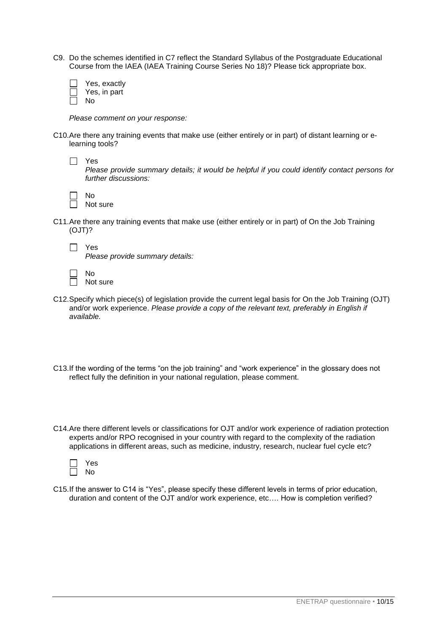C9. Do the schemes identified in C7 reflect the Standard Syllabus of the Postgraduate Educational Course from the IAEA (IAEA Training Course Series No 18)? Please tick appropriate box.

| Yes, exactly |
|--------------|
| Yes, in part |
| N٥           |

*Please comment on your response:*

C10.Are there any training events that make use (either entirely or in part) of distant learning or elearning tools?

| $\Box$ Yes                                                                                    |
|-----------------------------------------------------------------------------------------------|
| Please provide summary details; it would be helpful if you could identify contact persons for |
| further discussions:                                                                          |

| Nο |          |
|----|----------|
|    | Not sure |

C11.Are there any training events that make use (either entirely or in part) of On the Job Training (OJT)?

| ÷<br>-<br>- |
|-------------|
| г           |

*Please provide summary details:*

| N٥       |
|----------|
| Not sure |

- C12.Specify which piece(s) of legislation provide the current legal basis for On the Job Training (OJT) and/or work experience. *Please provide a copy of the relevant text, preferably in English if available.*
- C13.If the wording of the terms "on the job training" and "work experience" in the glossary does not reflect fully the definition in your national regulation, please comment.
- C14.Are there different levels or classifications for OJT and/or work experience of radiation protection experts and/or RPO recognised in your country with regard to the complexity of the radiation applications in different areas, such as medicine, industry, research, nuclear fuel cycle etc?



C15.If the answer to C14 is "Yes", please specify these different levels in terms of prior education, duration and content of the OJT and/or work experience, etc…. How is completion verified?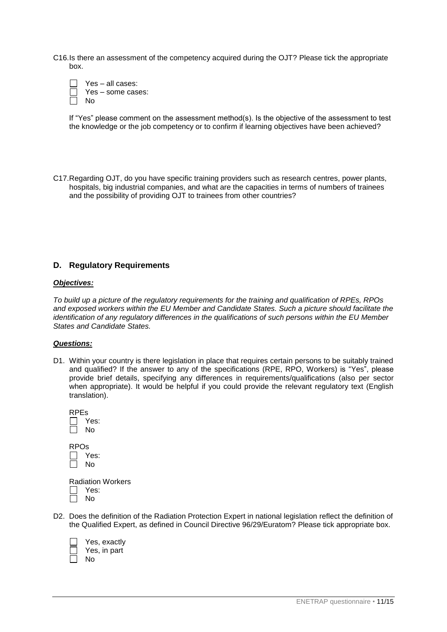C16.Is there an assessment of the competency acquired during the OJT? Please tick the appropriate box.



If "Yes" please comment on the assessment method(s). Is the objective of the assessment to test the knowledge or the job competency or to confirm if learning objectives have been achieved?

C17.Regarding OJT, do you have specific training providers such as research centres, power plants, hospitals, big industrial companies, and what are the capacities in terms of numbers of trainees and the possibility of providing OJT to trainees from other countries?

# **D. Regulatory Requirements**

#### *Objectives:*

*To build up a picture of the regulatory requirements for the training and qualification of RPEs, RPOs and exposed workers within the EU Member and Candidate States. Such a picture should facilitate the identification of any regulatory differences in the qualifications of such persons within the EU Member States and Candidate States.*

#### *Questions:*

D1. Within your country is there legislation in place that requires certain persons to be suitably trained and qualified? If the answer to any of the specifications (RPE, RPO, Workers) is "Yes", please provide brief details, specifying any differences in requirements/qualifications (also per sector when appropriate). It would be helpful if you could provide the relevant regulatory text (English translation).

| <b>RPEs</b><br>$\mathbf{L}$<br>$\mathbf{L}$ | J Yes:<br>No |  |
|---------------------------------------------|--------------|--|
| <b>RPOs</b><br>I.<br>L                      | Yes:<br>l No |  |
|                                             | Radiation Wo |  |

orkers Yes: No

D2. Does the definition of the Radiation Protection Expert in national legislation reflect the definition of the Qualified Expert, as defined in Council Directive 96/29/Euratom? Please tick appropriate box.

| Yes, exactly |
|--------------|
| Yes, in part |
| No           |

 $\sqrt{ }$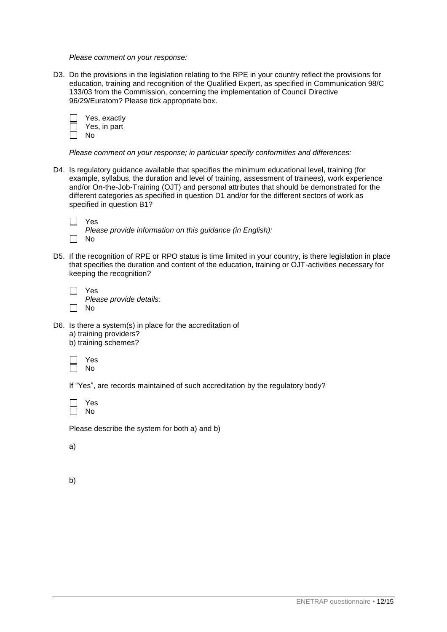*Please comment on your response:*

D3. Do the provisions in the legislation relating to the RPE in your country reflect the provisions for education, training and recognition of the Qualified Expert, as specified in Communication 98/C 133/03 from the Commission, concerning the implementation of Council Directive 96/29/Euratom? Please tick appropriate box.



*Please comment on your response; in particular specify conformities and differences:* 

D4. Is regulatory guidance available that specifies the minimum educational level, training (for example, syllabus, the duration and level of training, assessment of trainees), work experience and/or On-the-Job-Training (OJT) and personal attributes that should be demonstrated for the different categories as specified in question D1 and/or for the different sectors of work as specified in question B1?

 $\Box$ Yes

*Please provide information on this guidance (in English):* 

- $\Box$ No
- D5. If the recognition of RPE or RPO status is time limited in your country, is there legislation in place that specifies the duration and content of the education, training or OJT-activities necessary for keeping the recognition?

*Please provide details:* 

- $\Box$  No
- D6. Is there a system(s) in place for the accreditation of a) training providers? b) training schemes?

Yes No

If "Yes", are records maintained of such accreditation by the regulatory body?



Please describe the system for both a) and b)

a)

b)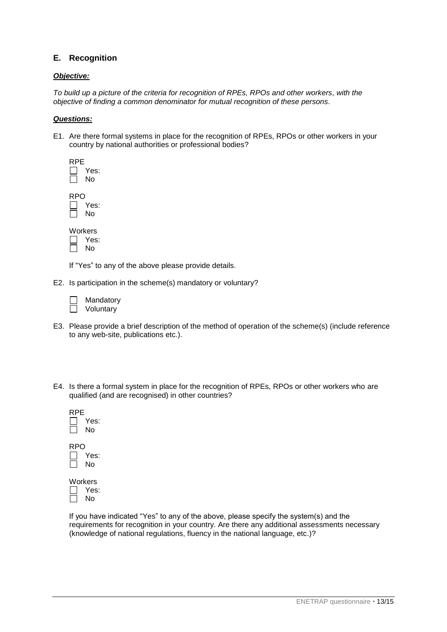# **E. Recognition**

## *Objective:*

*To build up a picture of the criteria for recognition of RPEs, RPOs and other workers, with the objective of finding a common denominator for mutual recognition of these persons.*

### *Questions:*

E1. Are there formal systems in place for the recognition of RPEs, RPOs or other workers in your country by national authorities or professional bodies?

| RPE | Yes:<br>N٥ |
|-----|------------|
| RP( | Yes:<br>No |
|     | M/nrkare   |

| Workers |
|---------|
| Yes:    |
| Nο      |

If "Yes" to any of the above please provide details.

E2. Is participation in the scheme(s) mandatory or voluntary?

| Mandatory |
|-----------|
| Voluntarv |

- E3. Please provide a brief description of the method of operation of the scheme(s) (include reference to any web-site, publications etc.).
- E4. Is there a formal system in place for the recognition of RPEs, RPOs or other workers who are qualified (and are recognised) in other countries?

| RPE | Yes:<br>N٥ |
|-----|------------|
| RP( | Yes:<br>No |
|     | Workers    |

Yes: No

If you have indicated "Yes" to any of the above, please specify the system(s) and the requirements for recognition in your country. Are there any additional assessments necessary (knowledge of national regulations, fluency in the national language, etc.)?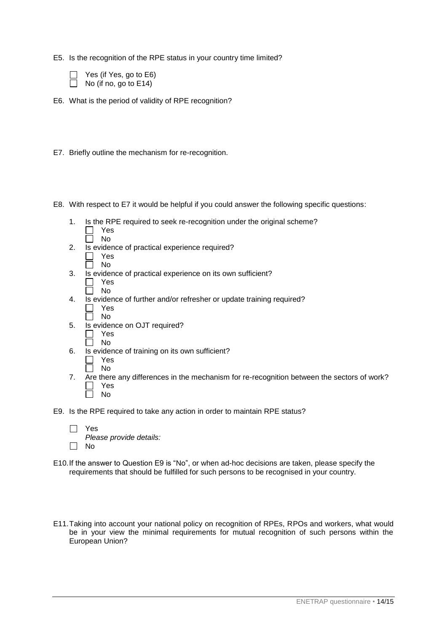E5. Is the recognition of the RPE status in your country time limited?

| Yes (if Yes, go to E6) |
|------------------------|
| No (if no, go to E14)  |

E6. What is the period of validity of RPE recognition?

- E7. Briefly outline the mechanism for re-recognition.
- E8. With respect to E7 it would be helpful if you could answer the following specific questions:
	- 1. Is the RPE required to seek re-recognition under the original scheme?  $\Box$ Yes
		- $\Box$ No
	- 2. Is evidence of practical experience required?
		- П Yes Ħ. No
	- 3. Is evidence of practical experience on its own sufficient?
		- Yes No
	- 4. Is evidence of further and/or refresher or update training required? Yes
		- $\Box$  $\Box$ No
	- 5. Is evidence on OJT required?
		- $\Box$ Yes  $\Box$  No
	- 6. Is evidence of training on its own sufficient?
		- П Yes No
	- 7. Are there any differences in the mechanism for re-recognition between the sectors of work? Г Yes No
- E9. Is the RPE required to take any action in order to maintain RPE status?

| $\Box$ Yes              |
|-------------------------|
| Please provide details: |
| $\Box$ No               |

- E10.If the answer to Question E9 is "No", or when ad-hoc decisions are taken, please specify the requirements that should be fulfilled for such persons to be recognised in your country.
- E11.Taking into account your national policy on recognition of RPEs, RPOs and workers, what would be in your view the minimal requirements for mutual recognition of such persons within the European Union?